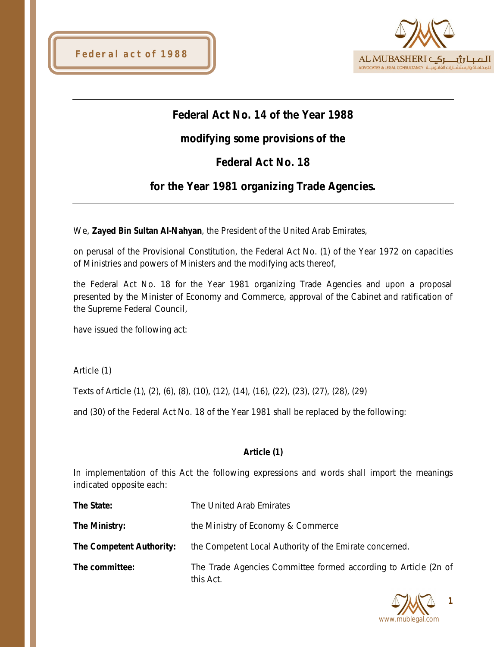



# **Federal Act No. 14 of the Year 1988**

# **modifying some provisions of the**

# **Federal Act No. 18**

## **for the Year 1981 organizing Trade Agencies.**

We, **Zayed Bin Sultan Al-Nahyan**, the President of the United Arab Emirates,

on perusal of the Provisional Constitution, the Federal Act No. (1) of the Year 1972 on capacities of Ministries and powers of Ministers and the modifying acts thereof,

the Federal Act No. 18 for the Year 1981 organizing Trade Agencies and upon a proposal presented by the Minister of Economy and Commerce, approval of the Cabinet and ratification of the Supreme Federal Council,

have issued the following act:

Article (1)

Texts of Article (1), (2), (6), (8), (10), (12), (14), (16), (22), (23), (27), (28), (29)

and (30) of the Federal Act No. 18 of the Year 1981 shall be replaced by the following:

## **Article (1)**

In implementation of this Act the following expressions and words shall import the meanings indicated opposite each:

| The State:               | The United Arab Emirates                                                     |
|--------------------------|------------------------------------------------------------------------------|
| The Ministry:            | the Ministry of Economy & Commerce                                           |
| The Competent Authority: | the Competent Local Authority of the Emirate concerned.                      |
| The committee:           | The Trade Agencies Committee formed according to Article (2n of<br>this Act. |

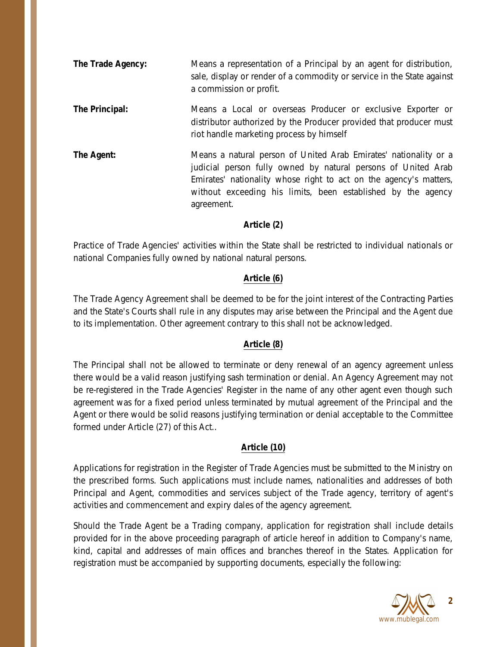- **The Trade Agency:** Means a representation of a Principal by an agent for distribution, sale, display or render of a commodity or service in the State against a commission or profit.
- **The Principal:** Means a Local or overseas Producer or exclusive Exporter or distributor authorized by the Producer provided that producer must riot handle marketing process by himself
- **The Agent:** Means a natural person of United Arab Emirates' nationality or a judicial person fully owned by natural persons of United Arab Emirates' nationality whose right to act on the agency's matters, without exceeding his limits, been established by the agency agreement.

## **Article (2)**

Practice of Trade Agencies' activities within the State shall be restricted to individual nationals or national Companies fully owned by national natural persons.

## **Article (6)**

The Trade Agency Agreement shall be deemed to be for the joint interest of the Contracting Parties and the State's Courts shall rule in any disputes may arise between the Principal and the Agent due to its implementation. Other agreement contrary to this shall not be acknowledged.

## **Article (8)**

The Principal shall not be allowed to terminate or deny renewal of an agency agreement unless there would be a valid reason justifying sash termination or denial. An Agency Agreement may not be re-registered in the Trade Agencies' Register in the name of any other agent even though such agreement was for a fixed period unless terminated by mutual agreement of the Principal and the Agent or there would be solid reasons justifying termination or denial acceptable to the Committee formed under Article (27) of this Act..

#### **Article (10)**

Applications for registration in the Register of Trade Agencies must be submitted to the Ministry on the prescribed forms. Such applications must include names, nationalities and addresses of both Principal and Agent, commodities and services subject of the Trade agency, territory of agent's activities and commencement and expiry dales of the agency agreement.

Should the Trade Agent be a Trading company, application for registration shall include details provided for in the above proceeding paragraph of article hereof in addition to Company's name, kind, capital and addresses of main offices and branches thereof in the States. Application for registration must be accompanied by supporting documents, especially the following:

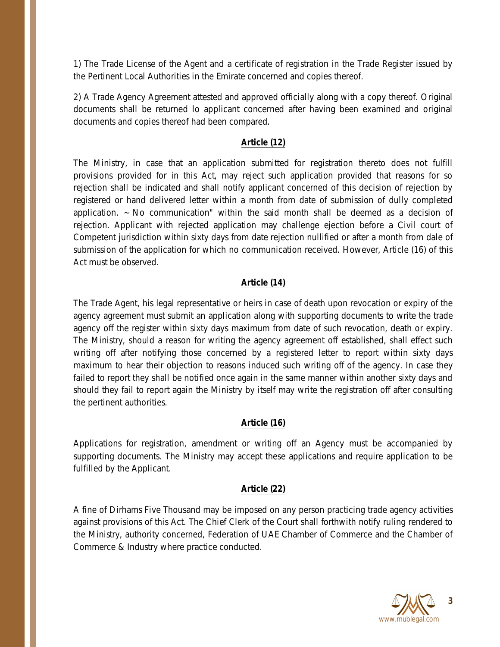1) The Trade License of the Agent and a certificate of registration in the Trade Register issued by the Pertinent Local Authorities in the Emirate concerned and copies thereof.

2) A Trade Agency Agreement attested and approved officially along with a copy thereof. Original documents shall be returned lo applicant concerned after having been examined and original documents and copies thereof had been compared.

## **Article (12)**

The Ministry, in case that an application submitted for registration thereto does not fulfill provisions provided for in this Act, may reject such application provided that reasons for so rejection shall be indicated and shall notify applicant concerned of this decision of rejection by registered or hand delivered letter within a month from date of submission of dully completed application.  $\sim$  No communication" within the said month shall be deemed as a decision of rejection. Applicant with rejected application may challenge ejection before a Civil court of Competent jurisdiction within sixty days from date rejection nullified or after a month from dale of submission of the application for which no communication received. However, Article (16) of this Act must be observed.

## **Article (14)**

The Trade Agent, his legal representative or heirs in case of death upon revocation or expiry of the agency agreement must submit an application along with supporting documents to write the trade agency off the register within sixty days maximum from date of such revocation, death or expiry. The Ministry, should a reason for writing the agency agreement off established, shall effect such writing off after notifying those concerned by a registered letter to report within sixty days maximum to hear their objection to reasons induced such writing off of the agency. In case they failed to report they shall be notified once again in the same manner within another sixty days and should they fail to report again the Ministry by itself may write the registration off after consulting the pertinent authorities.

## **Article (16)**

Applications for registration, amendment or writing off an Agency must be accompanied by supporting documents. The Ministry may accept these applications and require application to be fulfilled by the Applicant.

## **Article (22)**

A fine of Dirhams Five Thousand may be imposed on any person practicing trade agency activities against provisions of this Act. The Chief Clerk of the Court shall forthwith notify ruling rendered to the Ministry, authority concerned, Federation of UAE Chamber of Commerce and the Chamber of Commerce & Industry where practice conducted.

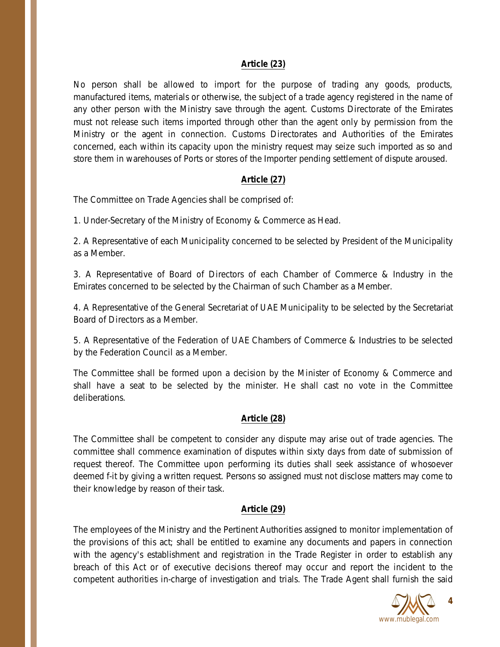#### **Article (23)**

No person shall be allowed to import for the purpose of trading any goods, products, manufactured items, materials or otherwise, the subject of a trade agency registered in the name of any other person with the Ministry save through the agent. Customs Directorate of the Emirates must not release such items imported through other than the agent only by permission from the Ministry or the agent in connection. Customs Directorates and Authorities of the Emirates concerned, each within its capacity upon the ministry request may seize such imported as so and store them in warehouses of Ports or stores of the Importer pending settlement of dispute aroused.

## **Article (27)**

The Committee on Trade Agencies shall be comprised of:

1. Under-Secretary of the Ministry of Economy & Commerce as Head.

2. A Representative of each Municipality concerned to be selected by President of the Municipality as a Member.

3. A Representative of Board of Directors of each Chamber of Commerce & Industry in the Emirates concerned to be selected by the Chairman of such Chamber as a Member.

4. A Representative of the General Secretariat of UAE Municipality to be selected by the Secretariat Board of Directors as a Member.

5. A Representative of the Federation of UAE Chambers of Commerce & Industries to be selected by the Federation Council as a Member.

The Committee shall be formed upon a decision by the Minister of Economy & Commerce and shall have a seat to be selected by the minister. He shall cast no vote in the Committee deliberations.

## **Article (28)**

The Committee shall be competent to consider any dispute may arise out of trade agencies. The committee shall commence examination of disputes within sixty days from date of submission of request thereof. The Committee upon performing its duties shall seek assistance of whosoever deemed f-it by giving a written request. Persons so assigned must not disclose matters may come to their knowledge by reason of their task.

## **Article (29)**

The employees of the Ministry and the Pertinent Authorities assigned to monitor implementation of the provisions of this act; shall be entitled to examine any documents and papers in connection with the agency's establishment and registration in the Trade Register in order to establish any breach of this Act or of executive decisions thereof may occur and report the incident to the competent authorities in-charge of investigation and trials. The Trade Agent shall furnish the said